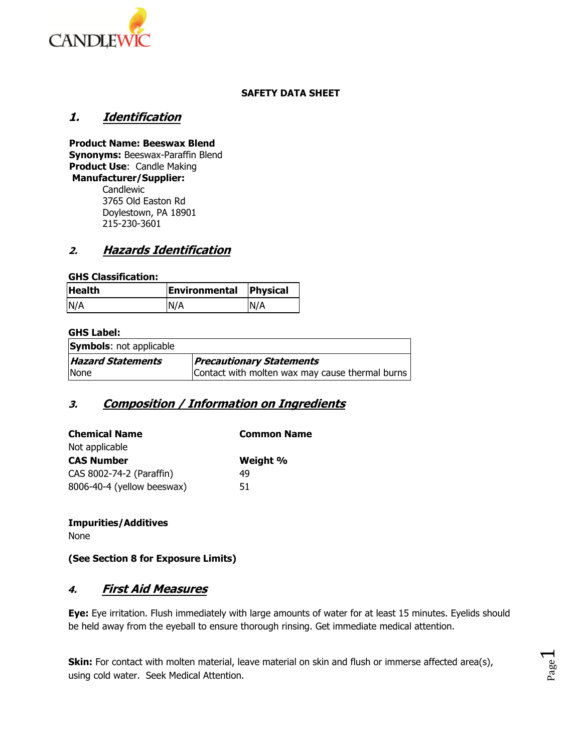

#### **SAFETY DATA SHEET**

### **1. Identification**

**Product Name: Beeswax Blend Synonyms:** Beeswax-Paraffin Blend **Product Use**: Candle Making **Manufacturer/Supplier:**  Candlewic 3765 Old Easton Rd Doylestown, PA 18901

215-230-3601

### **2. Hazards Identification**

#### **GHS Classification:**

| <b>Health</b> | <b>Environmental Physical</b> |     |
|---------------|-------------------------------|-----|
| N/A           | N/A                           | N/A |

#### **GHS Label:**

| <b>Symbols:</b> not applicable |                                                 |
|--------------------------------|-------------------------------------------------|
| <b>Hazard Statements</b>       | <b>Precautionary Statements</b>                 |
| None                           | Contact with molten wax may cause thermal burns |

## **3. Composition / Information on Ingredients**

| <b>Chemical Name</b>       | <b>Common Name</b> |  |
|----------------------------|--------------------|--|
| Not applicable             |                    |  |
| <b>CAS Number</b>          | Weight %           |  |
| CAS 8002-74-2 (Paraffin)   | 49                 |  |
| 8006-40-4 (yellow beeswax) | 51                 |  |

#### **Impurities/Additives**

None

**(See Section 8 for Exposure Limits)**

### **4. First Aid Measures**

**Eye:** Eye irritation. Flush immediately with large amounts of water for at least 15 minutes. Eyelids should be held away from the eyeball to ensure thorough rinsing. Get immediate medical attention.

**Skin:** For contact with molten material, leave material on skin and flush or immerse affected area(s), using cold water. Seek Medical Attention.

$$
\Gamma_{\text{age}}1
$$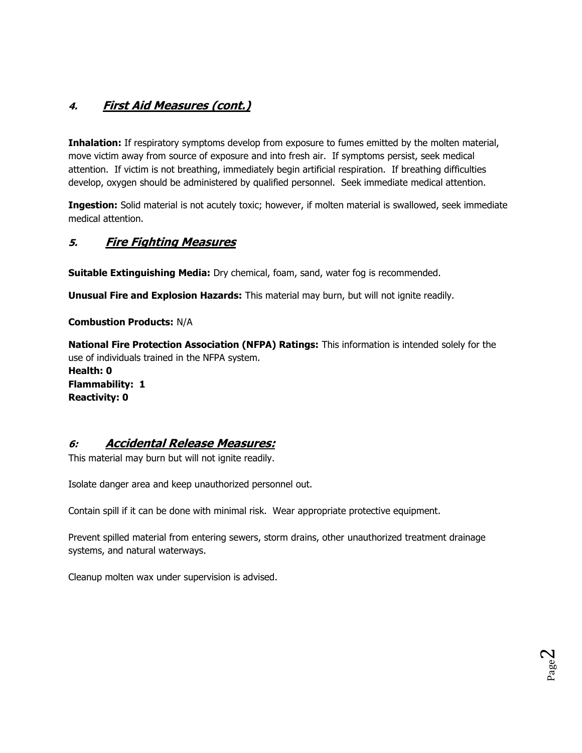# **4. First Aid Measures (cont.)**

**Inhalation:** If respiratory symptoms develop from exposure to fumes emitted by the molten material, move victim away from source of exposure and into fresh air. If symptoms persist, seek medical attention. If victim is not breathing, immediately begin artificial respiration. If breathing difficulties develop, oxygen should be administered by qualified personnel. Seek immediate medical attention.

**Ingestion:** Solid material is not acutely toxic; however, if molten material is swallowed, seek immediate medical attention.

### **5. Fire Fighting Measures**

**Suitable Extinguishing Media:** Dry chemical, foam, sand, water fog is recommended.

**Unusual Fire and Explosion Hazards:** This material may burn, but will not ignite readily.

**Combustion Products:** N/A

**National Fire Protection Association (NFPA) Ratings:** This information is intended solely for the use of individuals trained in the NFPA system. **Health: 0 Flammability: 1 Reactivity: 0**

### **6: Accidental Release Measures:**

This material may burn but will not ignite readily.

Isolate danger area and keep unauthorized personnel out.

Contain spill if it can be done with minimal risk. Wear appropriate protective equipment.

Prevent spilled material from entering sewers, storm drains, other unauthorized treatment drainage systems, and natural waterways.

Cleanup molten wax under supervision is advised.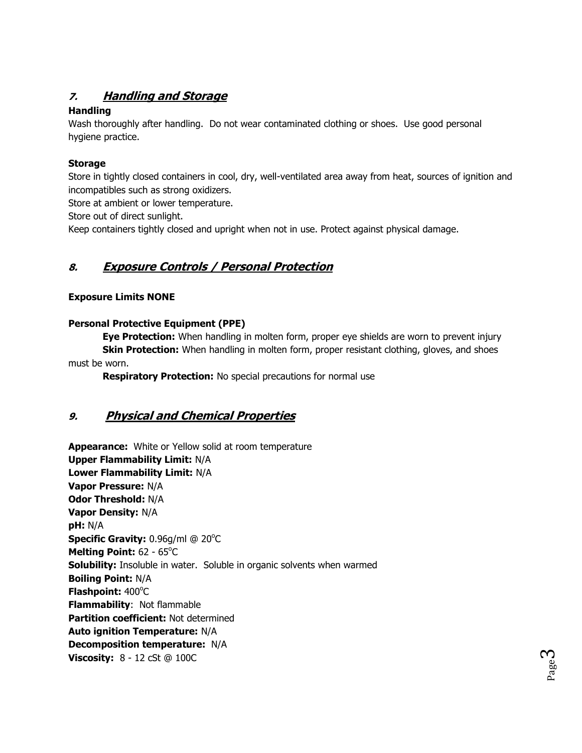# **7. Handling and Storage**

### **Handling**

Wash thoroughly after handling. Do not wear contaminated clothing or shoes. Use good personal hygiene practice.

### **Storage**

Store in tightly closed containers in cool, dry, well-ventilated area away from heat, sources of ignition and incompatibles such as strong oxidizers.

Store at ambient or lower temperature.

Store out of direct sunlight.

Keep containers tightly closed and upright when not in use. Protect against physical damage.

# **8. Exposure Controls / Personal Protection**

### **Exposure Limits NONE**

### **Personal Protective Equipment (PPE)**

**Eye Protection:** When handling in molten form, proper eye shields are worn to prevent injury **Skin Protection:** When handling in molten form, proper resistant clothing, gloves, and shoes must be worn.

**Respiratory Protection:** No special precautions for normal use

## **9. Physical and Chemical Properties**

**Appearance:** White or Yellow solid at room temperature **Upper Flammability Limit:** N/A **Lower Flammability Limit:** N/A **Vapor Pressure:** N/A **Odor Threshold:** N/A **Vapor Density:** N/A **pH:** N/A **Specific Gravity:** 0.96g/ml @ 20°C Melting Point: 62 - 65°C **Solubility:** Insoluble in water. Soluble in organic solvents when warmed **Boiling Point:** N/A Flashpoint: 400°C **Flammability**: Not flammable **Partition coefficient:** Not determined **Auto ignition Temperature:** N/A **Decomposition temperature:** N/A **Viscosity:** 8 - 12 cSt @ 100C

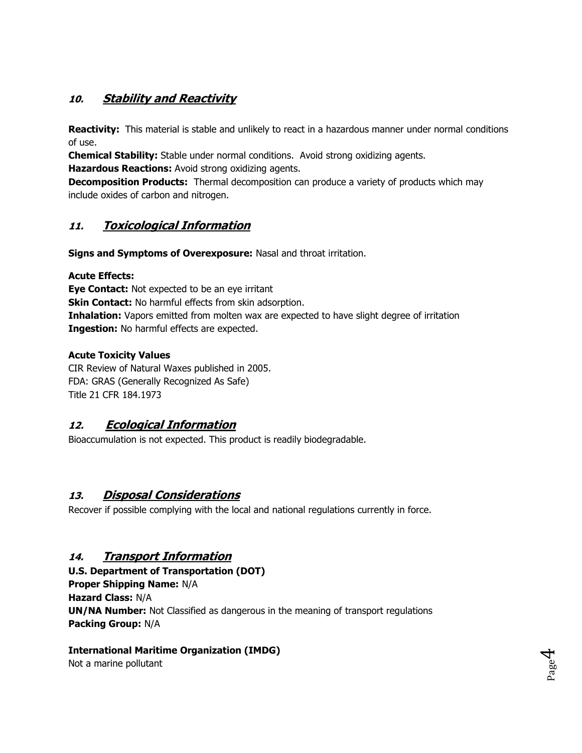# **10. Stability and Reactivity**

**Reactivity:** This material is stable and unlikely to react in a hazardous manner under normal conditions of use.

**Chemical Stability:** Stable under normal conditions. Avoid strong oxidizing agents.

**Hazardous Reactions:** Avoid strong oxidizing agents.

**Decomposition Products:** Thermal decomposition can produce a variety of products which may include oxides of carbon and nitrogen.

## **11. Toxicological Information**

**Signs and Symptoms of Overexposure:** Nasal and throat irritation.

### **Acute Effects:**

**Eye Contact:** Not expected to be an eye irritant **Skin Contact:** No harmful effects from skin adsorption. **Inhalation:** Vapors emitted from molten wax are expected to have slight degree of irritation **Ingestion:** No harmful effects are expected.

### **Acute Toxicity Values**

CIR Review of Natural Waxes published in 2005. FDA: GRAS (Generally Recognized As Safe) Title 21 CFR 184.1973

## **12. Ecological Information**

Bioaccumulation is not expected. This product is readily biodegradable.

## **13. Disposal Considerations**

Recover if possible complying with the local and national regulations currently in force.

## **14. Transport Information**

**U.S. Department of Transportation (DOT) Proper Shipping Name:** N/A **Hazard Class:** N/A **UN/NA Number:** Not Classified as dangerous in the meaning of transport regulations **Packing Group:** N/A

> Page  $\overline{\mathcal{A}}$

### **International Maritime Organization (IMDG)**

Not a marine pollutant